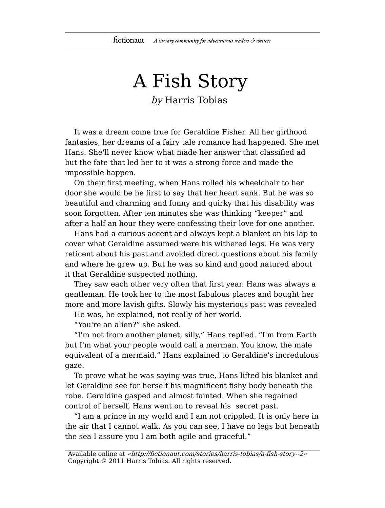## A Fish Story by Harris Tobias

It was a dream come true for Geraldine Fisher. All her girlhood fantasies, her dreams of a fairy tale romance had happened. She met Hans. She'll never know what made her answer that classified ad but the fate that led her to it was a strong force and made the impossible happen.

On their first meeting, when Hans rolled his wheelchair to her door she would be he first to say that her heart sank. But he was so beautiful and charming and funny and quirky that his disability was soon forgotten. After ten minutes she was thinking "keeper" and after a half an hour they were confessing their love for one another.

Hans had a curious accent and always kept a blanket on his lap to cover what Geraldine assumed were his withered legs. He was very reticent about his past and avoided direct questions about his family and where he grew up. But he was so kind and good natured about it that Geraldine suspected nothing.

They saw each other very often that first year. Hans was always a gentleman. He took her to the most fabulous places and bought her more and more lavish gifts. Slowly his mysterious past was revealed

He was, he explained, not really of her world.

"You're an alien?" she asked.

"I'm not from another planet, silly," Hans replied. "I'm from Earth but I'm what your people would call a merman. You know, the male equivalent of a mermaid." Hans explained to Geraldine's incredulous gaze.

To prove what he was saying was true, Hans lifted his blanket and let Geraldine see for herself his magnificent fishy body beneath the robe. Geraldine gasped and almost fainted. When she regained control of herself, Hans went on to reveal his secret past.

"I am a prince in my world and I am not crippled. It is only here in the air that I cannot walk. As you can see, I have no legs but beneath the sea I assure you I am both agile and graceful."

Available online at «http://fictionaut.com/stories/harris-tobias/a-fish-story--2» Copyright © 2011 Harris Tobias. All rights reserved.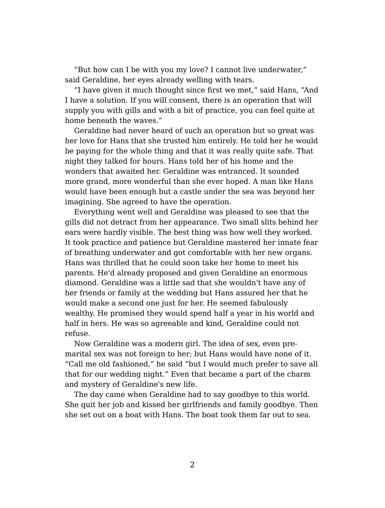"But how can I be with you my love? I cannot live underwater," said Geraldine, her eyes already welling with tears.

"I have given it much thought since first we met," said Hans, "And I have a solution. If you will consent, there is an operation that will supply you with gills and with a bit of practice, you can feel quite at home beneath the waves."

Geraldine had never heard of such an operation but so great was her love for Hans that she trusted him entirely. He told her he would be paying for the whole thing and that it was really quite safe. That night they talked for hours. Hans told her of his home and the wonders that awaited her. Geraldine was entranced. It sounded more grand, more wonderful than she ever hoped. A man like Hans would have been enough but a castle under the sea was beyond her imagining. She agreed to have the operation.

Everything went well and Geraldine was pleased to see that the gills did not detract from her appearance. Two small slits behind her ears were hardly visible. The best thing was how well they worked. It took practice and patience but Geraldine mastered her innate fear of breathing underwater and got comfortable with her new organs. Hans was thrilled that he could soon take her home to meet his parents. He'd already proposed and given Geraldine an enormous diamond. Geraldine was a little sad that she wouldn't have any of her friends or family at the wedding but Hans assured her that he would make a second one just for her. He seemed fabulously wealthy. He promised they would spend half a year in his world and half in hers. He was so agreeable and kind, Geraldine could not refuse.

Now Geraldine was a modern girl. The idea of sex, even premarital sex was not foreign to her; but Hans would have none of it. "Call me old fashioned," he said "but I would much prefer to save all that for our wedding night." Even that became a part of the charm and mystery of Geraldine's new life.

The day came when Geraldine had to say goodbye to this world. She quit her job and kissed her girlfriends and family goodbye. Then she set out on a boat with Hans. The boat took them far out to sea.